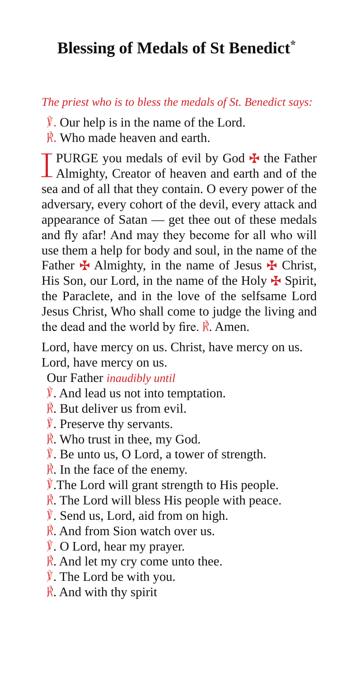## **Blessing of Medals of St Benedict\***

## *The priest who is to bless the medals of St. Benedict says:*

- $\mathbf{\nabla}$ . Our help is in the name of the Lord.
- R. Who made heaven and earth.

I PURGE you medals of evil by God  $\maltese$  the Father Almighty, Creator of heaven and earth and of the sea and of all that they contain. O every power of the adversary, every cohort of the devil, every attack and appearance of Satan — get thee out of these medals and fly afar! And may they become for all who will use them a help for body and soul, in the name of the Father  $\bigstar$  Almighty, in the name of Jesus  $\bigstar$  Christ, His Son, our Lord, in the name of the Holy  $\bigstar$  Spirit, the Paraclete, and in the love of the selfsame Lord Jesus Christ, Who shall come to judge the living and the dead and the world by fire.  $\vec{R}$ . Amen.

Lord, have mercy on us. Christ, have mercy on us. Lord, have mercy on us.

Our Father *inaudibly until*

- $\hat{V}$ . And lead us not into temptation.
- $\vec{R}$ . But deliver us from evil.
- ℣. Preserve thy servants.
- ℟. Who trust in thee, my God.
- $\hat{V}$ . Be unto us, O Lord, a tower of strength.
- $\vec{R}$ . In the face of the enemy.
- $\hat{V}$ . The Lord will grant strength to His people.
- $\hat{\mathbb{R}}$ . The Lord will bless His people with peace.
- ℣. Send us, Lord, aid from on high.
- $\vec{R}$ . And from Sion watch over us.
- ℣. O Lord, hear my prayer.
- $\vec{R}$ . And let my cry come unto thee.
- $\hat{V}$ . The Lord be with you.
- $\vec{R}$ . And with thy spirit